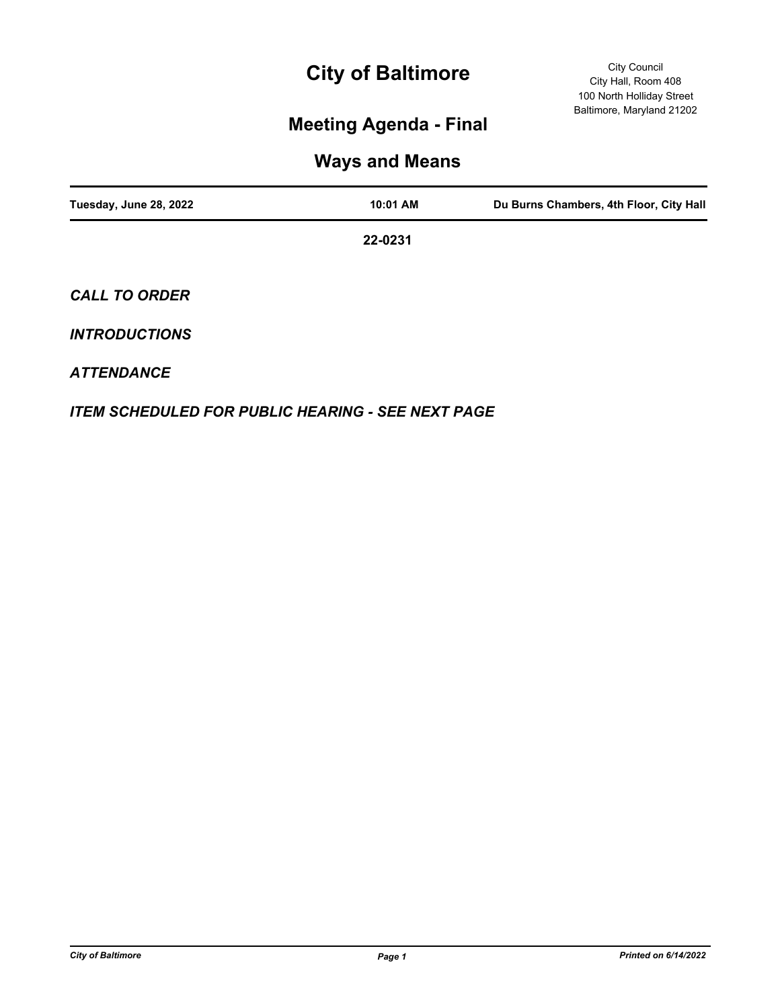# **City of Baltimore**

## **Meeting Agenda - Final**

### **Ways and Means**

| Tuesday, June 28, 2022 | 10:01 AM | Du Burns Chambers, 4th Floor, City Hall |
|------------------------|----------|-----------------------------------------|
|                        | 22-0231  |                                         |
| <b>CALL TO ORDER</b>   |          |                                         |
| <b>INTRODUCTIONS</b>   |          |                                         |

### *ATTENDANCE*

*ITEM SCHEDULED FOR PUBLIC HEARING - SEE NEXT PAGE*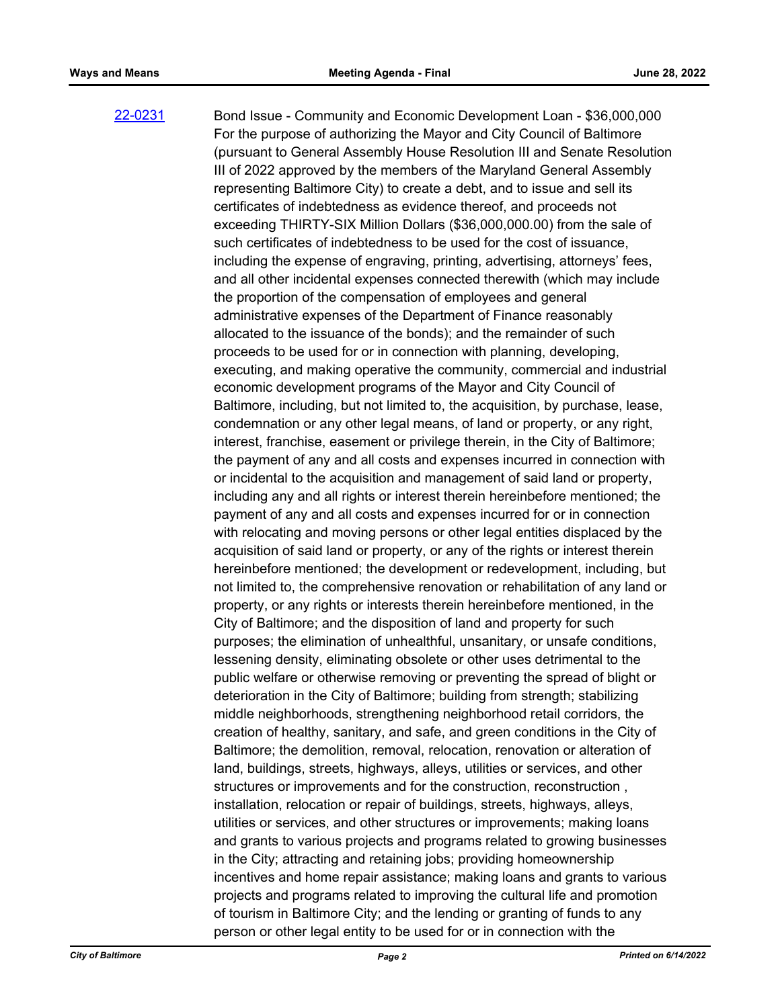Bond Issue - Community and Economic Development Loan - \$36,000,000 For the purpose of authorizing the Mayor and City Council of Baltimore (pursuant to General Assembly House Resolution III and Senate Resolution III of 2022 approved by the members of the Maryland General Assembly representing Baltimore City) to create a debt, and to issue and sell its certificates of indebtedness as evidence thereof, and proceeds not exceeding THIRTY-SIX Million Dollars (\$36,000,000.00) from the sale of such certificates of indebtedness to be used for the cost of issuance, including the expense of engraving, printing, advertising, attorneys' fees, and all other incidental expenses connected therewith (which may include the proportion of the compensation of employees and general administrative expenses of the Department of Finance reasonably allocated to the issuance of the bonds); and the remainder of such proceeds to be used for or in connection with planning, developing, executing, and making operative the community, commercial and industrial economic development programs of the Mayor and City Council of Baltimore, including, but not limited to, the acquisition, by purchase, lease, condemnation or any other legal means, of land or property, or any right, interest, franchise, easement or privilege therein, in the City of Baltimore; the payment of any and all costs and expenses incurred in connection with or incidental to the acquisition and management of said land or property, including any and all rights or interest therein hereinbefore mentioned; the payment of any and all costs and expenses incurred for or in connection with relocating and moving persons or other legal entities displaced by the acquisition of said land or property, or any of the rights or interest therein hereinbefore mentioned; the development or redevelopment, including, but not limited to, the comprehensive renovation or rehabilitation of any land or property, or any rights or interests therein hereinbefore mentioned, in the City of Baltimore; and the disposition of land and property for such purposes; the elimination of unhealthful, unsanitary, or unsafe conditions, lessening density, eliminating obsolete or other uses detrimental to the public welfare or otherwise removing or preventing the spread of blight or deterioration in the City of Baltimore; building from strength; stabilizing middle neighborhoods, strengthening neighborhood retail corridors, the creation of healthy, sanitary, and safe, and green conditions in the City of Baltimore; the demolition, removal, relocation, renovation or alteration of land, buildings, streets, highways, alleys, utilities or services, and other structures or improvements and for the construction, reconstruction , installation, relocation or repair of buildings, streets, highways, alleys, utilities or services, and other structures or improvements; making loans and grants to various projects and programs related to growing businesses in the City; attracting and retaining jobs; providing homeownership incentives and home repair assistance; making loans and grants to various projects and programs related to improving the cultural life and promotion of tourism in Baltimore City; and the lending or granting of funds to any person or other legal entity to be used for or in connection with the [22-0231](http://baltimore.legistar.com/gateway.aspx?m=l&id=/matter.aspx?key=9120)